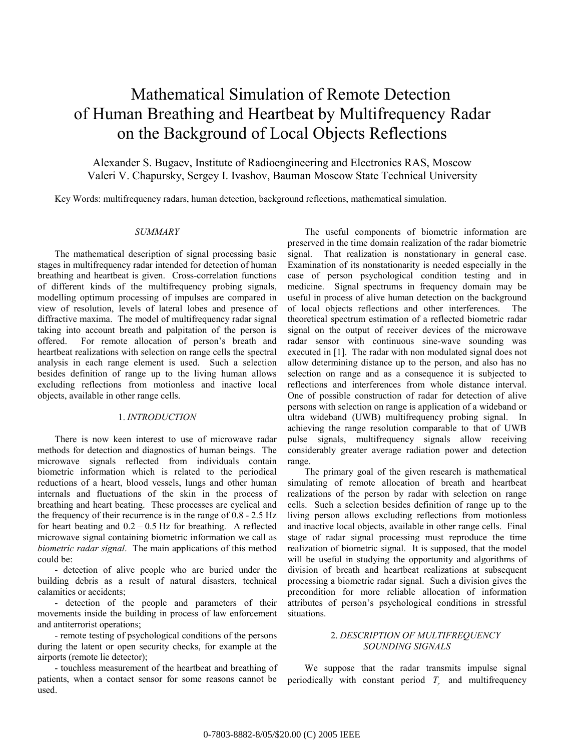# Mathematical Simulation of Remote Detection of Human Breathing and Heartbeat by Multifrequency Radar on the Background of Local Objects Reflections

Alexander S. Bugaev, Institute of Radioengineering and Electronics RAS, Moscow Valeri V. Chapursky, Sergey I. Ivashov, Bauman Moscow State Technical University

Key Words: multifrequency radars, human detection, background reflections, mathematical simulation.

#### *SUMMARY*

The mathematical description of signal processing basic stages in multifrequency radar intended for detection of human breathing and heartbeat is given. Cross-correlation functions of different kinds of the multifrequency probing signals, modelling optimum processing of impulses are compared in view of resolution, levels of lateral lobes and presence of diffractive maxima. The model of multifrequency radar signal taking into account breath and palpitation of the person is offered. For remote allocation of person's breath and heartbeat realizations with selection on range cells the spectral analysis in each range element is used. Such a selection besides definition of range up to the living human allows excluding reflections from motionless and inactive local objects, available in other range cells.

## 1. *INTRODUCTION*

There is now keen interest to use of microwave radar methods for detection and diagnostics of human beings. The microwave signals reflected from individuals contain biometric information which is related to the periodical reductions of a heart, blood vessels, lungs and other human internals and fluctuations of the skin in the process of breathing and heart beating. These processes are cyclical and the frequency of their recurrence is in the range of 0.8 - 2.5 Hz for heart beating and  $0.2 - 0.5$  Hz for breathing. A reflected microwave signal containing biometric information we call as *biometric radar signal*. The main applications of this method could be:

- detection of alive people who are buried under the building debris as a result of natural disasters, technical calamities or accidents;

- detection of the people and parameters of their movements inside the building in process of law enforcement and antiterrorist operations;

- remote testing of psychological conditions of the persons during the latent or open security checks, for example at the airports (remote lie detector);

- touchless measurement of the heartbeat and breathing of patients, when a contact sensor for some reasons cannot be used.

The useful components of biometric information are preserved in the time domain realization of the radar biometric signal. That realization is nonstationary in general case. Examination of its nonstationarity is needed especially in the case of person psychological condition testing and in medicine. Signal spectrums in frequency domain may be useful in process of alive human detection on the background of local objects reflections and other interferences. The theoretical spectrum estimation of a reflected biometric radar signal on the output of receiver devices of the microwave radar sensor with continuous sine-wave sounding was executed in [1]. The radar with non modulated signal does not allow determining distance up to the person, and also has no selection on range and as a consequence it is subjected to reflections and interferences from whole distance interval. One of possible construction of radar for detection of alive persons with selection on range is application of a wideband or ultra wideband (UWB) multifrequency probing signal. In achieving the range resolution comparable to that of UWB pulse signals, multifrequency signals allow receiving considerably greater average radiation power and detection range.

The primary goal of the given research is mathematical simulating of remote allocation of breath and heartbeat realizations of the person by radar with selection on range cells. Such a selection besides definition of range up to the living person allows excluding reflections from motionless and inactive local objects, available in other range cells. Final stage of radar signal processing must reproduce the time realization of biometric signal. It is supposed, that the model will be useful in studying the opportunity and algorithms of division of breath and heartbeat realizations at subsequent processing a biometric radar signal. Such a division gives the precondition for more reliable allocation of information attributes of person's psychological conditions in stressful situations.

#### 2. *DESCRIPTION OF MULTIFREQUENCY SOUNDING SIGNALS*

We suppose that the radar transmits impulse signal periodically with constant period  $T<sub>r</sub>$  and multifrequency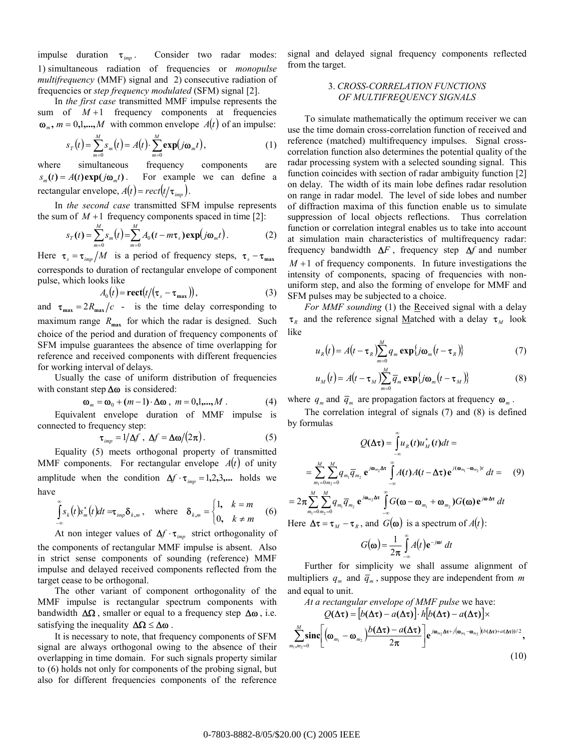impulse duration  $\tau_{imp}$ . Consider two radar modes: 1) simultaneous radiation of frequencies or *monopulse multifrequency* (MMF) signal and 2) consecutive radiation of frequencies or *step frequency modulated* (SFM) signal [2].

In *the first case* transmitted MMF impulse represents the sum of  $M+1$  frequency components at frequencies  $\omega_m$ ,  $m = 0, 1, \dots, M$  with common envelope  $A(t)$  of an impulse:

$$
s_{\scriptscriptstyle T}(t) = \sum_{m=0}^M s_m(t) = A(t) \cdot \sum_{m=0}^M \exp(j\omega_m t), \qquad (1)
$$

where simultaneous frequency components are  $s_m(t) = A(t) \exp(j\omega_m t)$ . For example we can define a rectangular envelope,  $A(t) = rect(t/\tau_{i_{mn}})$ .

In *the second case* transmitted SFM impulse represents the sum of  $M + 1$  frequency components spaced in time [2]:

$$
s_{\scriptscriptstyle T}(t) = \sum_{m=0}^M s_m(t) = \sum_{m=0}^M A_0(t - m\tau_s) \exp(j\omega_m t). \tag{2}
$$

Here  $\tau_s = \tau_{imp}/M$  is a period of frequency steps,  $\tau_s - \tau_{max}$ corresponds to duration of rectangular envelope of component pulse, which looks like

$$
A_0(t) = \mathbf{rect}(t/(\tau_s - \tau_{\max})),
$$
 (3)

and  $\tau_{\text{max}} = 2R_{\text{max}}/c$  - is the time delay corresponding to maximum range  $R_{\text{max}}$  for which the radar is designed. Such choice of the period and duration of frequency components of SFM impulse guarantees the absence of time overlapping for reference and received components with different frequencies for working interval of delays.

Usually the case of uniform distribution of frequencies with constant step  $\Delta\omega$  is considered:

$$
\mathbf{\omega}_m = \mathbf{\omega}_0 + (m-1) \cdot \Delta \mathbf{\omega} \ , \ m = 0, 1, \dots, M \ . \tag{4}
$$

Equivalent envelope duration of MMF impulse is connected to frequency step:

$$
\boldsymbol{\tau}_{imp} = 1/\Delta f \ , \ \Delta f = \Delta \omega / (2\pi) \ . \tag{5}
$$

Equality (5) meets orthogonal property of transmitted MMF components. For rectangular envelope  $A(t)$  of unity amplitude when the condition  $\Delta f \cdot \tau_{imp} = 1,2,3,...$  holds we have

$$
\int_{-\infty}^{\infty} s_k(t) s_m^*(t) dt = \mathbf{t}_{imp} \delta_{k,m}, \quad \text{where} \quad \delta_{k,m} = \begin{cases} 1, & k = m \\ 0, & k \neq m \end{cases} \tag{6}
$$

At non integer values of  $\Delta f \cdot \tau_{imp}$  strict orthogonality of the components of rectangular MMF impulse is absent. Also in strict sense components of sounding (reference) MMF impulse and delayed received components reflected from the target cease to be orthogonal.

The other variant of component orthogonality of the MMF impulse is rectangular spectrum components with bandwidth  $\Delta\Omega$ , smaller or equal to a frequency step  $\Delta\omega$ , i.e. satisfying the inequality  $\Delta\Omega \leq \Delta\omega$ .

It is necessary to note, that frequency components of SFM signal are always orthogonal owing to the absence of their overlapping in time domain. For such signals property similar to (6) holds not only for components of the probing signal, but also for different frequencies components of the reference signal and delayed signal frequency components reflected from the target.

## 3. *CROSS-CORRELATION FUNCTIONS OF MULTIFREQUENCY SIGNALS*

To simulate mathematically the optimum receiver we can use the time domain cross-correlation function of received and reference (matched) multifrequency impulses. Signal crosscorrelation function also determines the potential quality of the radar processing system with a selected sounding signal. This function coincides with section of radar ambiguity function [2] on delay. The width of its main lobe defines radar resolution on range in radar model. The level of side lobes and number of diffraction maxima of this function enable us to simulate suppression of local objects reflections. Thus correlation function or correlation integral enables us to take into account at simulation main characteristics of multifrequency radar: frequency bandwidth ∆*F* , frequency step ∆*f* and number  $M+1$  of frequency components. In future investigations the intensity of components, spacing of frequencies with nonuniform step, and also the forming of envelope for MMF and SFM pulses may be subjected to a choice.

*For MMF sounding* (1) the <u>Received signal</u> with a delay  $\tau_R$  and the reference signal Matched with a delay  $\tau_M$  look like

$$
u_R(t) = A(t - \tau_R) \sum_{m=0}^{M} q_m \exp\{j\omega_m(t - \tau_R)\}
$$
 (7)

$$
u_M(t) = A(t - \tau_M) \sum_{m=0}^{M} \overline{q}_m \exp\{j\omega_m(t - \tau_M)\}
$$
(8)

where  $q_m$  and  $\overline{q}_m$  are propagation factors at frequency  $\omega_m$ .

The correlation integral of signals (7) and (8) is defined by formulas

$$
Q(\Delta \tau) = \int_{-\infty}^{\infty} u_R(t) u_M^*(t) dt =
$$
\n
$$
= \sum_{m_1=0}^M \sum_{m_2=0}^M q_{m_1} \overline{q}_{m_2} e^{j \mathbf{\omega}_{m_2} \Delta \tau} \int_{-\infty}^{\infty} A(t) A(t - \Delta \tau) e^{j (\mathbf{\omega}_{m_1} - \mathbf{\omega}_{m_2})t} dt = (9)
$$
\n
$$
= 2\pi \sum_{m_1=0}^M \sum_{m_2=0}^M q_{m_1} \overline{q}_{m_2} e^{j \mathbf{\omega}_{m_2} \Delta \tau} \int_{-\infty}^{\infty} G(\mathbf{\omega} - \mathbf{\omega}_{m_1} + \mathbf{\omega}_{m_2}) G(\mathbf{\omega}) e^{j \mathbf{\omega} \Delta \tau} dt
$$
\nHere,  $\Delta \tau = 0$ , and  $\overline{G}(\tau)$  is a singotrum of  $A(t)$ .

Here  $\Delta \tau = \tau_M - \tau_R$ , and  $G(\omega)$  is a spectrum of  $A(t)$ :

$$
G(\mathbf{\omega}) = \frac{1}{2\pi} \int_{-\infty}^{\infty} A(t) \mathbf{e}^{-j\mathbf{\omega}t} dt
$$

Further for simplicity we shall assume alignment of multipliers  $q_m$  and  $\overline{q}_m$ , suppose they are independent from *m* and equal to unit.

At a rectangular envelope of MMP pulse we have:  
\n
$$
Q(\Delta \tau) = [b(\Delta \tau) - a(\Delta \tau)] \cdot h[b(\Delta \tau) - a(\Delta \tau)] \times
$$
\n
$$
\sum_{m_1, m_2 = 0}^{M} \text{sinc}\left[(\omega_{m_1} - \omega_{m_2}) \frac{b(\Delta \tau) - a(\Delta \tau)}{2\pi}\right] e^{j\omega_{m_2} \Delta \tau + j(\omega_{m_1} - \omega_{m_2}) (b(\Delta \tau) + a(\Delta \tau))^2},
$$
\n(10)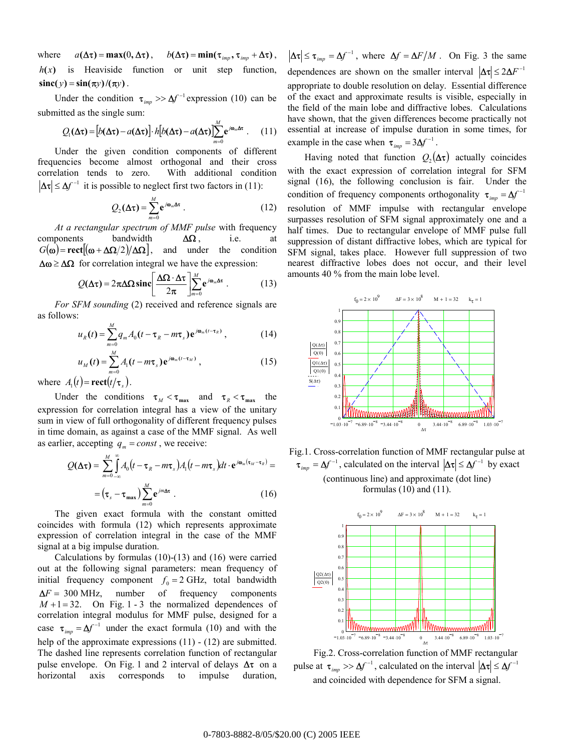where  $a(\Delta \tau) = \max(0, \Delta \tau), \quad b(\Delta \tau) = \min(\tau_{imp}, \tau_{imp} + \Delta \tau),$  $h(x)$  is Heaviside function or unit step function,  $\operatorname{sinc}(y) = \sin(\pi y)/(\pi y)$ .

Under the condition  $\tau_{imp}$  >>  $\Delta f^{-1}$  expression (10) can be submitted as the single sum:

$$
Q_1(\Delta \tau) = [b(\Delta \tau) - a(\Delta \tau)] \cdot h [b(\Delta \tau) - a(\Delta \tau)] \sum_{m=0}^{M} e^{j \omega_m \Delta \tau} \quad . \quad (11)
$$

Under the given condition components of different frequencies become almost orthogonal and their cross correlation tends to zero. With additional condition  $|\Delta \tau| \leq \Delta f^{-1}$  it is possible to neglect first two factors in (11):

$$
Q_2(\Delta \tau) = \sum_{m=0}^{M} e^{j \mathbf{\omega}_m \Delta \tau} \ . \tag{12}
$$

*At a rectangular spectrum of MMF pulse* with frequency components bandwidth  $\Delta\Omega$ , i.e. at  $G(\omega) = \text{rect}[(\omega + \Delta \Omega/2)/\Delta \Omega]$ , and under the condition  $\Delta \omega \geq \Delta \Omega$  for correlation integral we have the expression:

$$
Q(\Delta \tau) = 2\pi \Delta \Omega \operatorname{sinc} \left[ \frac{\Delta \Omega \cdot \Delta \tau}{2\pi} \right]_{m=0}^{M} e^{j\omega_m \Delta \tau} . \tag{13}
$$

*For SFM sounding* (2) received and reference signals are as follows:

$$
u_R(t) = \sum_{m=0}^{M} q_m A_0(t - \tau_R - m\tau_s) e^{j\mathbf{\omega}_m(t - \tau_R)}, \qquad (14)
$$

$$
u_M(t) = \sum_{m=0}^{M} A_1(t - m\tau_s) e^{j\mathbf{\omega}_m(t - \tau_M)}, \qquad (15)
$$

where  $A_1(t) = \text{rect}(t/\tau)$ .

Under the conditions  $\tau_M < \tau_{\text{max}}$  and  $\tau_R < \tau_{\text{max}}$  the expression for correlation integral has a view of the unitary sum in view of full orthogonality of different frequency pulses in time domain, as against a case of the MMF signal. As well as earlier, accepting  $q_m = const$ , we receive:

$$
Q(\Delta \tau) = \sum_{m=0}^{M} \int_{-\infty}^{\infty} A_0 \left( t - \tau_R - m \tau_s \right) A_1 \left( t - m \tau_s \right) dt \cdot e^{j \omega_m (\tau_M - \tau_R)} =
$$

$$
= (\tau_s - \tau_{\text{max}}) \sum_{m=0}^{M} e^{jm \Delta \tau} . \tag{16}
$$

The given exact formula with the constant omitted coincides with formula (12) which represents approximate expression of correlation integral in the case of the MMF signal at a big impulse duration.

Calculations by formulas (10)-(13) and (16) were carried out at the following signal parameters: mean frequency of initial frequency component  $f_0 = 2$  GHz, total bandwidth  $\Delta F = 300 \text{ MHz}$ , number of frequency components  $M+1=32$ . On Fig. 1 - 3 the normalized dependences of correlation integral modulus for MMF pulse, designed for a case  $\tau_{im} = \Delta f^{-1}$  under the exact formula (10) and with the help of the approximate expressions  $(11)$  -  $(12)$  are submitted. The dashed line represents correlation function of rectangular pulse envelope. On Fig. 1 and 2 interval of delays  $\Delta \tau$  on a horizontal axis corresponds to impulse duration,

 $|\Delta \tau| \le \tau_{imp} = \Delta f^{-1}$ , where  $\Delta f = \Delta F/M$ . On Fig. 3 the same dependences are shown on the smaller interval  $|\Delta \tau| \leq 2\Delta F^{-1}$ appropriate to double resolution on delay. Essential difference of the exact and approximate results is visible, especially in the field of the main lobe and diffractive lobes. Calculations have shown, that the given differences become practically not essential at increase of impulse duration in some times, for example in the case when  $\tau_{imp} = 3\Delta f^{-1}$ .

Having noted that function  $Q_2(\Delta \tau)$  actually coincides with the exact expression of correlation integral for SFM signal (16), the following conclusion is fair. Under the condition of frequency components orthogonality  $\tau_{imp} = \Delta f^{-1}$ resolution of MMF impulse with rectangular envelope surpasses resolution of SFM signal approximately one and a half times. Due to rectangular envelope of MMF pulse full suppression of distant diffractive lobes, which are typical for SFM signal, takes place. However full suppression of two nearest diffractive lobes does not occur, and their level amounts 40 % from the main lobe level.



Fig.1. Cross-correlation function of MMF rectangular pulse at  $\tau_{\text{imm}} = \Delta f^{-1}$ , calculated on the interval  $|\Delta \tau| \leq \Delta f^{-1}$  by exact

(continuous line) and approximate (dot line) formulas (10) and (11).



Fig.2. Сross-correlation function of MMF rectangular pulse at  $\tau_{imp}$  >>  $\Delta f^{-1}$ , calculated on the interval  $|\Delta \tau| \leq \Delta f^{-1}$ and coincided with dependence for SFM a signal.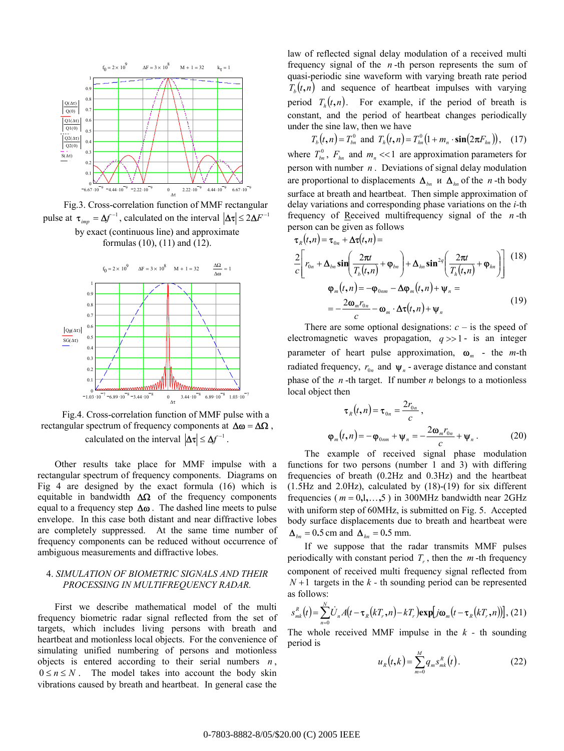

Fig.3. Сross-correlation function of MMF rectangular pulse at  $\tau_{imp} = \Delta f^{-1}$ , calculated on the interval  $|\Delta \tau| \leq 2\Delta F^{-1}$ by exact (continuous line) and approximate formulas (10), (11) and (12).



Fig.4. Сross-correlation function of MMF pulse with a rectangular spectrum of frequency components at  $\Delta \omega = \Delta \Omega$ , calculated on the interval  $|\Delta \tau| \leq \Delta f^{-1}$ .

Other results take place for MMF impulse with a rectangular spectrum of frequency components. Diagrams on Fig 4 are designed by the exact formula (16) which is equitable in bandwidth  $\Delta\Omega$  of the frequency components equal to a frequency step  $\Delta\omega$ . The dashed line meets to pulse envelope. In this case both distant and near diffractive lobes are completely suppressed. At the same time number of frequency components can be reduced without occurrence of ambiguous measurements and diffractive lobes.

## 4. *SIMULATION OF BIOMETRIC SIGNALS AND THEIR PROCESSING IN MULTIFREQUENCY RADAR.*

First we describe mathematical model of the multi frequency biometric radar signal reflected from the set of targets, which includes living persons with breath and heartbeat and motionless local objects. For the convenience of simulating unified numbering of persons and motionless objects is entered according to their serial numbers *n* ,  $0 \le n \le N$ . The model takes into account the body skin vibrations caused by breath and heartbeat. In general case the

law of reflected signal delay modulation of a received multi frequency signal of the *n* -th person represents the sum of quasi-periodic sine waveform with varying breath rate period  $T<sub>b</sub>(t,n)$  and sequence of heartbeat impulses with varying period  $T<sub>b</sub>(t,n)$ . For example, if the period of breath is constant, and the period of heartbeat changes periodically under the sine law, then we have

 $T_b(t,n) = T_{bn}^0$  and  $T_h(t,n) = T_{bn}^0(1 + m_n \cdot \sin(2\pi F_{bn}))$ , (17) where  $T_{bn}^0$ ,  $F_{bn}$  and  $m_n \ll 1$  are approximation parameters for person with number *n* . Deviations of signal delay modulation are proportional to displacements  $\Delta_{bn}$  *u*  $\Delta_{bn}$  of the *n*-th body surface at breath and heartbeat. Then simple approximation of delay variations and corresponding phase variations on the *i-*th frequency of Received multifrequency signal of the *n* -th person сan be given as follows

$$
\begin{split} \n\tau_{R}(t,n) &= \tau_{0n} + \Delta \tau(t,n) = \\ \n&\frac{2}{c} \bigg[ r_{0n} + \Delta_{bn} \sin \bigg( \frac{2\pi t}{T_b(t,n)} + \varphi_{bn} \bigg) + \Delta_{bn} \sin^{2q} \bigg( \frac{2\pi t}{T_h(t,n)} + \varphi_{bn} \bigg) \bigg] \tag{18} \\ \n&\varphi_{m}(t,n) &= -\varphi_{0nm} - \Delta \varphi_{m}(t,n) + \psi_{n} = \\ \n&= -\frac{2\omega_{m} r_{0n}}{c} - \omega_{m} \cdot \Delta \tau(t,n) + \psi_{n} \tag{19} \n\end{split}
$$

There are some optional designations:  $c -$  is the speed of electromagnetic waves propagation,  $q \gg 1$  - is an integer parameter of heart pulse approximation,  $\boldsymbol{\omega}_m$  - the *m*-th radiated frequency,  $r_{0n}$  and  $\Psi_n$  - average distance and constant phase of the *n* -th target. If number *n* belongs to a motionless local object then

$$
\begin{aligned} \n\boldsymbol{\tau}_R(t,n) &= \boldsymbol{\tau}_{0n} = \frac{2r_{0n}}{c} \,, \\ \n\boldsymbol{\varphi}_m(t,n) &= -\boldsymbol{\varphi}_{0nm} + \boldsymbol{\psi}_n = -\frac{2\boldsymbol{\omega}_m r_{0n}}{c} + \boldsymbol{\psi}_n \,. \end{aligned} \tag{20}
$$

The example of received signal phase modulation functions for two persons (number 1 and 3) with differing frequencies of breath (0.2Hz and 0.3Hz) and the heartbeat (1.5Hz and 2.0Hz), calculated by (18)-(19) for six different frequencies ( $m = 0, 1, \ldots, 5$ ) in 300MHz bandwidth near 2GHz with uniform step of 60MHz, is submitted on Fig. 5. Accepted body surface displacements due to breath and heartbeat were  $\Delta_{bn} = 0.5$  cm and  $\Delta_{bn} = 0.5$  mm.

If we suppose that the radar transmits MMF pulses periodically with constant period  $T_r$ , then the  $m$ -th frequency component of received multi frequency signal reflected from *N* +1 targets in the *k -* th sounding period can be represented as follows:

$$
s_{mk}^{R}(t) = \sum_{n=0}^{N} U_n A(t - \tau_R(kT_r, n) - kT_r) \exp[j\omega_m(t - \tau_R(kT_r, n))], (21)
$$

The whole received MMF impulse in the *k -* th sounding period is

$$
u_{R}(t,k) = \sum_{m=0}^{M} q_{m} s_{mk}^{R}(t).
$$
 (22)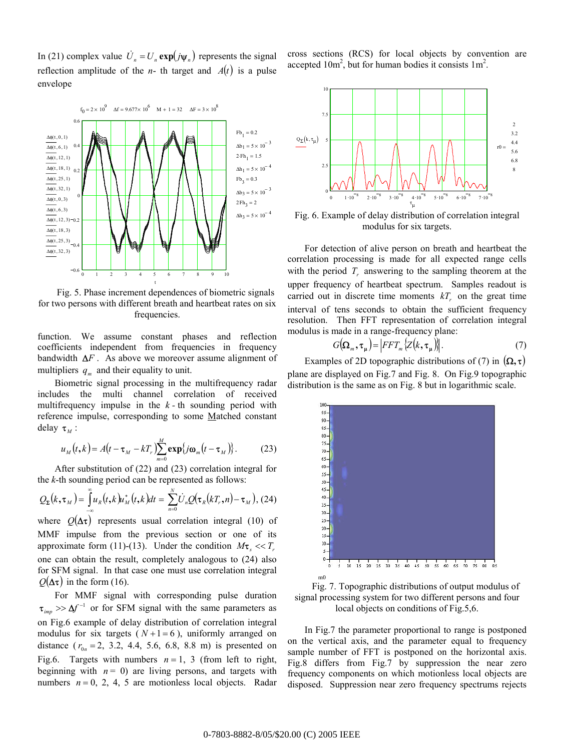In (21) complex value  $\dot{U}_n = U_n \exp(j\psi_n)$  represents the signal reflection amplitude of the *n*- th target and  $A(t)$  is a pulse envelope



Fig. 5. Phase increment dependences of biometric signals for two persons with different breath and heartbeat rates on six frequencies.

function. We assume constant phases and reflection coefficients independent from frequencies in frequency bandwidth ∆*F* . As above we moreover assume alignment of multipliers  $q_m$  and their equality to unit.

Biometric signal processing in the multifrequency radar includes the multi channel correlation of received multifrequency impulse in the *k -* th sounding period with reference impulse, corresponding to some Matched constant delay  $\tau_M$ :

$$
u_M(t,k) = A(t - \tau_M - kT_r) \sum_{m=0}^M \exp\{j\omega_m(t - \tau_M)\}.
$$
 (23)

After substitution of (22) and (23) correlation integral for the *k*-th sounding period can be represented as follows:

$$
Q_{\Sigma}(k,\tau_M)=\int\limits_{-\infty}^{\infty}u_R(t,k)u_M^*(t,k)dt=\sum\limits_{n=0}^N U_nQ(\tau_R(kT_r,n)-\tau_M),
$$
 (24)

where  $Q(\Delta \tau)$  represents usual correlation integral (10) of MMF impulse from the previous section or one of its approximate form (11)-(13). Under the condition  $M\tau_{s} \ll T_{r}$ one can obtain the result, completely analogous to (24) also for SFM signal. In that case one must use correlation integral  $Q(\Delta \tau)$  in the form (16).

For MMF signal with corresponding pulse duration  $\tau_{\text{imm}} >> \Delta f^{-1}$  or for SFM signal with the same parameters as on Fig.6 example of delay distribution of correlation integral modulus for six targets  $(N+1=6)$ , uniformly arranged on distance ( $r_{0n} = 2$ , 3.2, 4.4, 5.6, 6.8, 8.8 m) is presented on Fig.6. Targets with numbers  $n = 1$ , 3 (from left to right, beginning with  $n = 0$ ) are living persons, and targets with numbers  $n = 0, 2, 4, 5$  are motionless local objects. Radar cross sections (RCS) for local objects by convention are accepted  $10m^2$ , but for human bodies it consists  $1m^2$ .



Fig. 6. Example of delay distribution of correlation integral modulus for six targets.

For detection of alive person on breath and heartbeat the correlation processing is made for all expected range cells with the period  $T<sub>r</sub>$  answering to the sampling theorem at the upper frequency of heartbeat spectrum. Samples readout is carried out in discrete time moments  $kT<sub>r</sub>$  on the great time interval of tens seconds to obtain the sufficient frequency resolution. Then FFT representation of correlation integral modulus is made in a range-frequency plane:

$$
G(\mathbf{\Omega}_m, \mathbf{\tau}_{\mu}) = \left| FFT_m \left\{ Z(k, \mathbf{\tau}_{\mu}) \right\} \right|.
$$
 (7)

Examples of 2D topographic distributions of (7) in  $(\Omega, \tau)$ plane are displayed on Fig.7 and Fig. 8. On Fig.9 topographic distribution is the same as on Fig. 8 but in logarithmic scale.





In Fig.7 the parameter proportional to range is postponed on the vertical axis, and the parameter equal to frequency sample number of FFT is postponed on the horizontal axis. Fig.8 differs from Fig.7 by suppression the near zero frequency components on which motionless local objects are disposed. Suppression near zero frequency spectrums rejects